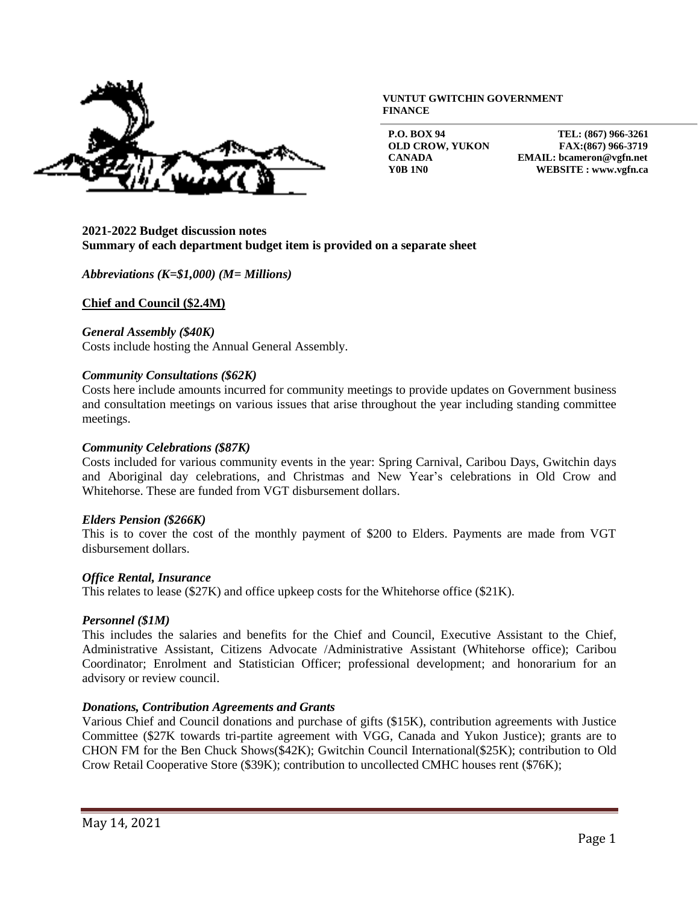

#### **VUNTUT GWITCHIN GOVERNMENT FINANCE**

**P.O. BOX 94 TEL: (867) 966-3261 OLD CROW, YUKON FAX:(867) 966-3719 CANADA EMAIL: bcameron@vgfn.net Y0B 1N0 WEBSITE : www.vgfn.ca**

## **2021-2022 Budget discussion notes Summary of each department budget item is provided on a separate sheet**

## *Abbreviations (K=\$1,000) (M= Millions)*

**Chief and Council (\$2.4M)**

### *General Assembly (\$40K)*

Costs include hosting the Annual General Assembly.

### *Community Consultations (\$62K)*

Costs here include amounts incurred for community meetings to provide updates on Government business and consultation meetings on various issues that arise throughout the year including standing committee meetings.

### *Community Celebrations (\$87K)*

Costs included for various community events in the year: Spring Carnival, Caribou Days, Gwitchin days and Aboriginal day celebrations, and Christmas and New Year's celebrations in Old Crow and Whitehorse. These are funded from VGT disbursement dollars.

## *Elders Pension (\$266K)*

This is to cover the cost of the monthly payment of \$200 to Elders. Payments are made from VGT disbursement dollars.

## *Office Rental, Insurance*

This relates to lease (\$27K) and office upkeep costs for the Whitehorse office (\$21K).

## *Personnel (\$1M)*

This includes the salaries and benefits for the Chief and Council, Executive Assistant to the Chief, Administrative Assistant, Citizens Advocate /Administrative Assistant (Whitehorse office); Caribou Coordinator; Enrolment and Statistician Officer; professional development; and honorarium for an advisory or review council.

## *Donations, Contribution Agreements and Grants*

Various Chief and Council donations and purchase of gifts (\$15K), contribution agreements with Justice Committee (\$27K towards tri-partite agreement with VGG, Canada and Yukon Justice); grants are to CHON FM for the Ben Chuck Shows(\$42K); Gwitchin Council International(\$25K); contribution to Old Crow Retail Cooperative Store (\$39K); contribution to uncollected CMHC houses rent (\$76K);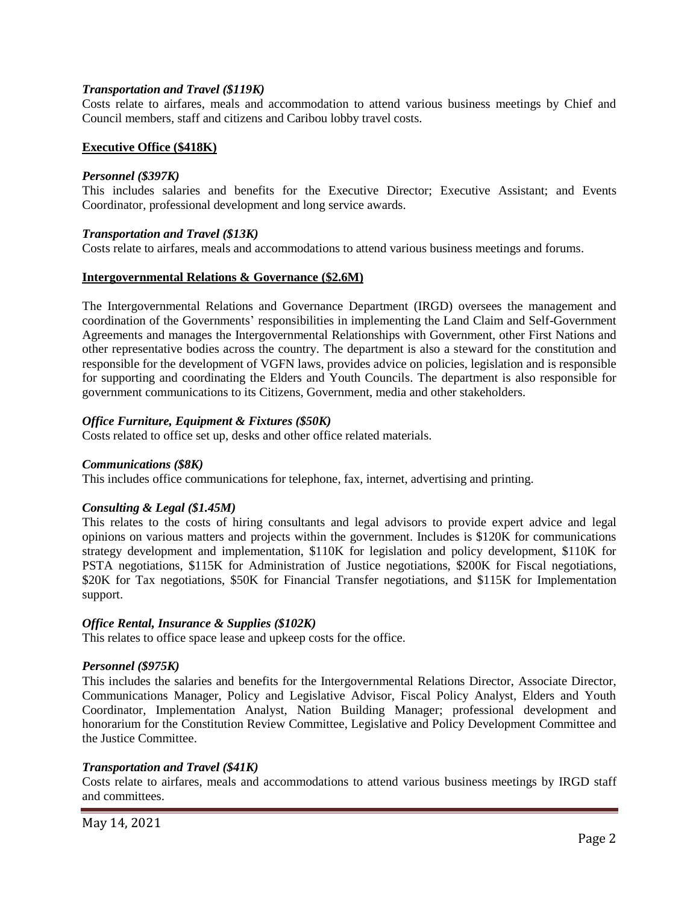## *Transportation and Travel (\$119K)*

Costs relate to airfares, meals and accommodation to attend various business meetings by Chief and Council members, staff and citizens and Caribou lobby travel costs.

## **Executive Office (\$418K)**

## *Personnel (\$397K)*

This includes salaries and benefits for the Executive Director; Executive Assistant; and Events Coordinator, professional development and long service awards.

### *Transportation and Travel (\$13K)*

Costs relate to airfares, meals and accommodations to attend various business meetings and forums.

### **Intergovernmental Relations & Governance (\$2.6M)**

The Intergovernmental Relations and Governance Department (IRGD) oversees the management and coordination of the Governments' responsibilities in implementing the Land Claim and Self-Government Agreements and manages the Intergovernmental Relationships with Government, other First Nations and other representative bodies across the country. The department is also a steward for the constitution and responsible for the development of VGFN laws, provides advice on policies, legislation and is responsible for supporting and coordinating the Elders and Youth Councils. The department is also responsible for government communications to its Citizens, Government, media and other stakeholders.

### *Office Furniture, Equipment & Fixtures (\$50K)*

Costs related to office set up, desks and other office related materials.

#### *Communications (\$8K)*

This includes office communications for telephone, fax, internet, advertising and printing.

## *Consulting & Legal (\$1.45M)*

This relates to the costs of hiring consultants and legal advisors to provide expert advice and legal opinions on various matters and projects within the government. Includes is \$120K for communications strategy development and implementation, \$110K for legislation and policy development, \$110K for PSTA negotiations, \$115K for Administration of Justice negotiations, \$200K for Fiscal negotiations, \$20K for Tax negotiations, \$50K for Financial Transfer negotiations, and \$115K for Implementation support.

## *Office Rental, Insurance & Supplies (\$102K)*

This relates to office space lease and upkeep costs for the office.

## *Personnel (\$975K)*

This includes the salaries and benefits for the Intergovernmental Relations Director, Associate Director, Communications Manager, Policy and Legislative Advisor, Fiscal Policy Analyst, Elders and Youth Coordinator, Implementation Analyst, Nation Building Manager; professional development and honorarium for the Constitution Review Committee, Legislative and Policy Development Committee and the Justice Committee.

## *Transportation and Travel (\$41K)*

Costs relate to airfares, meals and accommodations to attend various business meetings by IRGD staff and committees.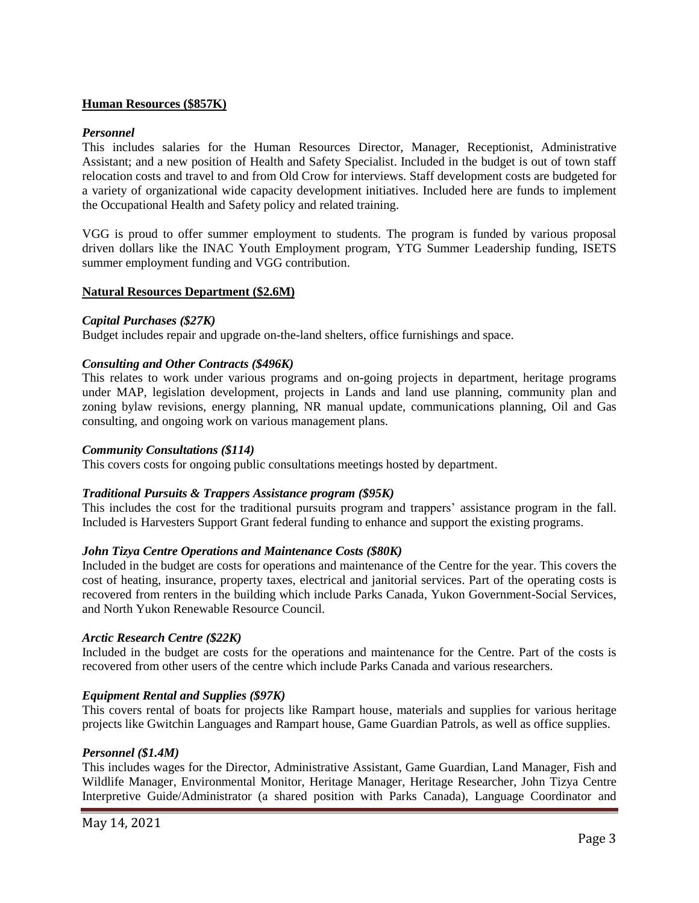# **Human Resources (\$857K)**

## *Personnel*

This includes salaries for the Human Resources Director, Manager, Receptionist, Administrative Assistant; and a new position of Health and Safety Specialist. Included in the budget is out of town staff relocation costs and travel to and from Old Crow for interviews. Staff development costs are budgeted for a variety of organizational wide capacity development initiatives. Included here are funds to implement the Occupational Health and Safety policy and related training.

VGG is proud to offer summer employment to students. The program is funded by various proposal driven dollars like the INAC Youth Employment program, YTG Summer Leadership funding, ISETS summer employment funding and VGG contribution.

## **Natural Resources Department (\$2.6M)**

## *Capital Purchases (\$27K)*

Budget includes repair and upgrade on-the-land shelters, office furnishings and space.

## *Consulting and Other Contracts (\$496K)*

This relates to work under various programs and on-going projects in department, heritage programs under MAP, legislation development, projects in Lands and land use planning, community plan and zoning bylaw revisions, energy planning, NR manual update, communications planning, Oil and Gas consulting, and ongoing work on various management plans.

### *Community Consultations (\$114)*

This covers costs for ongoing public consultations meetings hosted by department.

## *Traditional Pursuits & Trappers Assistance program (\$95K)*

This includes the cost for the traditional pursuits program and trappers' assistance program in the fall. Included is Harvesters Support Grant federal funding to enhance and support the existing programs.

## *John Tizya Centre Operations and Maintenance Costs (\$80K)*

Included in the budget are costs for operations and maintenance of the Centre for the year. This covers the cost of heating, insurance, property taxes, electrical and janitorial services. Part of the operating costs is recovered from renters in the building which include Parks Canada, Yukon Government-Social Services, and North Yukon Renewable Resource Council.

## *Arctic Research Centre (\$22K)*

Included in the budget are costs for the operations and maintenance for the Centre. Part of the costs is recovered from other users of the centre which include Parks Canada and various researchers.

## *Equipment Rental and Supplies (\$97K)*

This covers rental of boats for projects like Rampart house, materials and supplies for various heritage projects like Gwitchin Languages and Rampart house, Game Guardian Patrols, as well as office supplies.

## *Personnel (\$1.4M)*

This includes wages for the Director, Administrative Assistant, Game Guardian, Land Manager, Fish and Wildlife Manager, Environmental Monitor, Heritage Manager, Heritage Researcher, John Tizya Centre Interpretive Guide/Administrator (a shared position with Parks Canada), Language Coordinator and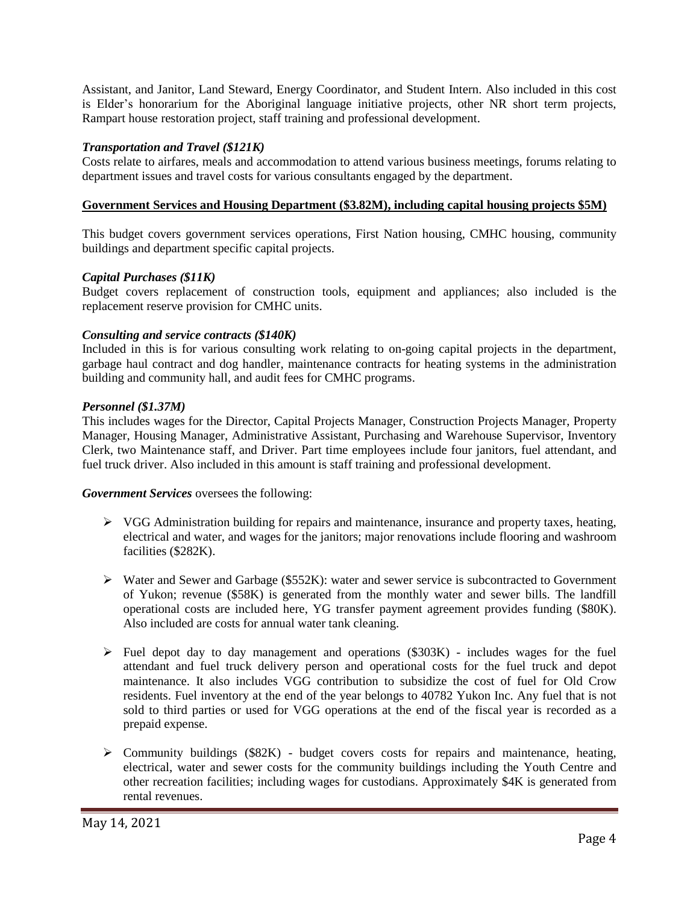Assistant, and Janitor, Land Steward, Energy Coordinator, and Student Intern. Also included in this cost is Elder's honorarium for the Aboriginal language initiative projects, other NR short term projects, Rampart house restoration project, staff training and professional development.

# *Transportation and Travel (\$121K)*

Costs relate to airfares, meals and accommodation to attend various business meetings, forums relating to department issues and travel costs for various consultants engaged by the department.

# **Government Services and Housing Department (\$3.82M), including capital housing projects \$5M)**

This budget covers government services operations, First Nation housing, CMHC housing, community buildings and department specific capital projects.

# *Capital Purchases (\$11K)*

Budget covers replacement of construction tools, equipment and appliances; also included is the replacement reserve provision for CMHC units.

# *Consulting and service contracts (\$140K)*

Included in this is for various consulting work relating to on-going capital projects in the department, garbage haul contract and dog handler, maintenance contracts for heating systems in the administration building and community hall, and audit fees for CMHC programs.

# *Personnel (\$1.37M)*

This includes wages for the Director, Capital Projects Manager, Construction Projects Manager, Property Manager, Housing Manager, Administrative Assistant, Purchasing and Warehouse Supervisor, Inventory Clerk, two Maintenance staff, and Driver. Part time employees include four janitors, fuel attendant, and fuel truck driver. Also included in this amount is staff training and professional development.

*Government Services* oversees the following:

- $\triangleright$  VGG Administration building for repairs and maintenance, insurance and property taxes, heating, electrical and water, and wages for the janitors; major renovations include flooring and washroom facilities (\$282K).
- $\triangleright$  Water and Sewer and Garbage (\$552K): water and sewer service is subcontracted to Government of Yukon; revenue (\$58K) is generated from the monthly water and sewer bills. The landfill operational costs are included here, YG transfer payment agreement provides funding (\$80K). Also included are costs for annual water tank cleaning.
- ➢ Fuel depot day to day management and operations (\$303K) includes wages for the fuel attendant and fuel truck delivery person and operational costs for the fuel truck and depot maintenance. It also includes VGG contribution to subsidize the cost of fuel for Old Crow residents. Fuel inventory at the end of the year belongs to 40782 Yukon Inc. Any fuel that is not sold to third parties or used for VGG operations at the end of the fiscal year is recorded as a prepaid expense.
- $\triangleright$  Community buildings (\$82K) budget covers costs for repairs and maintenance, heating, electrical, water and sewer costs for the community buildings including the Youth Centre and other recreation facilities; including wages for custodians. Approximately \$4K is generated from rental revenues.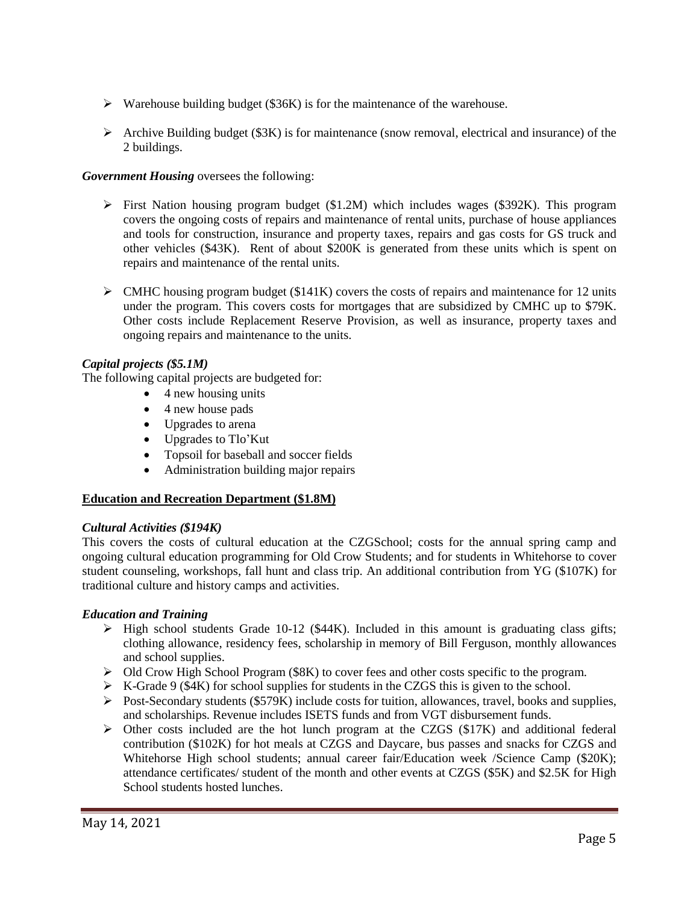- ➢ Warehouse building budget (\$36K) is for the maintenance of the warehouse.
- $\triangleright$  Archive Building budget (\$3K) is for maintenance (snow removal, electrical and insurance) of the 2 buildings.

# *Government Housing* oversees the following:

- $\triangleright$  First Nation housing program budget (\$1.2M) which includes wages (\$392K). This program covers the ongoing costs of repairs and maintenance of rental units, purchase of house appliances and tools for construction, insurance and property taxes, repairs and gas costs for GS truck and other vehicles (\$43K). Rent of about \$200K is generated from these units which is spent on repairs and maintenance of the rental units.
- $\triangleright$  CMHC housing program budget (\$141K) covers the costs of repairs and maintenance for 12 units under the program. This covers costs for mortgages that are subsidized by CMHC up to \$79K. Other costs include Replacement Reserve Provision, as well as insurance, property taxes and ongoing repairs and maintenance to the units.

# *Capital projects (\$5.1M)*

The following capital projects are budgeted for:

- $\bullet$  4 new housing units
- 4 new house pads
- Upgrades to arena
- Upgrades to Tlo'Kut
- Topsoil for baseball and soccer fields
- Administration building major repairs

# **Education and Recreation Department (\$1.8M)**

# *Cultural Activities (\$194K)*

This covers the costs of cultural education at the CZGSchool; costs for the annual spring camp and ongoing cultural education programming for Old Crow Students; and for students in Whitehorse to cover student counseling, workshops, fall hunt and class trip. An additional contribution from YG (\$107K) for traditional culture and history camps and activities.

# *Education and Training*

- $\triangleright$  High school students Grade 10-12 (\$44K). Included in this amount is graduating class gifts; clothing allowance, residency fees, scholarship in memory of Bill Ferguson, monthly allowances and school supplies.
- ➢ Old Crow High School Program (\$8K) to cover fees and other costs specific to the program.
- $\triangleright$  K-Grade 9 (\$4K) for school supplies for students in the CZGS this is given to the school.
- $\triangleright$  Post-Secondary students (\$579K) include costs for tuition, allowances, travel, books and supplies, and scholarships. Revenue includes ISETS funds and from VGT disbursement funds.
- $\triangleright$  Other costs included are the hot lunch program at the CZGS (\$17K) and additional federal contribution (\$102K) for hot meals at CZGS and Daycare, bus passes and snacks for CZGS and Whitehorse High school students; annual career fair/Education week /Science Camp (\$20K); attendance certificates/ student of the month and other events at CZGS (\$5K) and \$2.5K for High School students hosted lunches.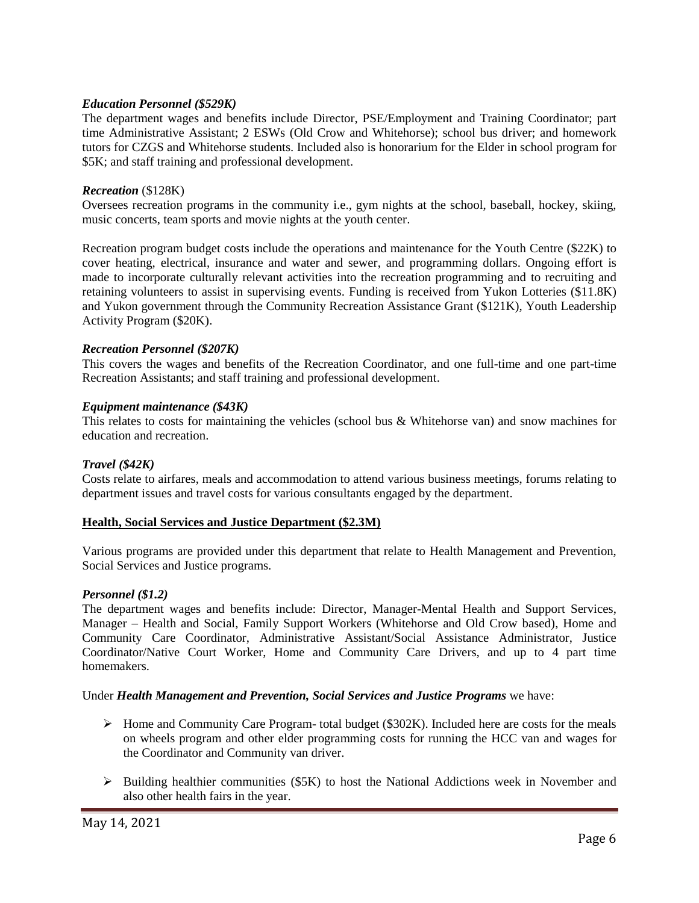## *Education Personnel (\$529K)*

The department wages and benefits include Director, PSE/Employment and Training Coordinator; part time Administrative Assistant; 2 ESWs (Old Crow and Whitehorse); school bus driver; and homework tutors for CZGS and Whitehorse students. Included also is honorarium for the Elder in school program for \$5K; and staff training and professional development.

## *Recreation* (\$128K)

Oversees recreation programs in the community i.e., gym nights at the school, baseball, hockey, skiing, music concerts, team sports and movie nights at the youth center.

Recreation program budget costs include the operations and maintenance for the Youth Centre (\$22K) to cover heating, electrical, insurance and water and sewer, and programming dollars. Ongoing effort is made to incorporate culturally relevant activities into the recreation programming and to recruiting and retaining volunteers to assist in supervising events. Funding is received from Yukon Lotteries (\$11.8K) and Yukon government through the Community Recreation Assistance Grant (\$121K), Youth Leadership Activity Program (\$20K).

## *Recreation Personnel (\$207K)*

This covers the wages and benefits of the Recreation Coordinator, and one full-time and one part-time Recreation Assistants; and staff training and professional development.

### *Equipment maintenance (\$43K)*

This relates to costs for maintaining the vehicles (school bus & Whitehorse van) and snow machines for education and recreation.

## *Travel (\$42K)*

Costs relate to airfares, meals and accommodation to attend various business meetings, forums relating to department issues and travel costs for various consultants engaged by the department.

#### **Health, Social Services and Justice Department (\$2.3M)**

Various programs are provided under this department that relate to Health Management and Prevention, Social Services and Justice programs.

#### *Personnel (\$1.2)*

The department wages and benefits include: Director, Manager-Mental Health and Support Services, Manager – Health and Social, Family Support Workers (Whitehorse and Old Crow based), Home and Community Care Coordinator, Administrative Assistant/Social Assistance Administrator, Justice Coordinator/Native Court Worker, Home and Community Care Drivers, and up to 4 part time homemakers.

#### Under *Health Management and Prevention, Social Services and Justice Programs* we have:

- $\triangleright$  Home and Community Care Program- total budget (\$302K). Included here are costs for the meals on wheels program and other elder programming costs for running the HCC van and wages for the Coordinator and Community van driver.
- $\triangleright$  Building healthier communities (\$5K) to host the National Addictions week in November and also other health fairs in the year.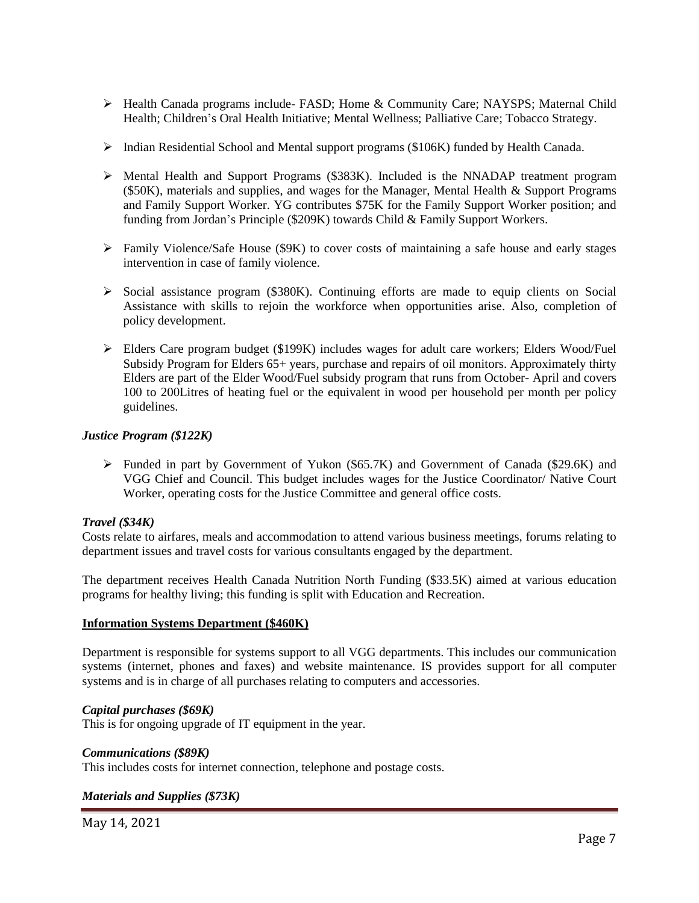- ➢ Health Canada programs include- FASD; Home & Community Care; NAYSPS; Maternal Child Health; Children's Oral Health Initiative; Mental Wellness; Palliative Care; Tobacco Strategy.
- ➢ Indian Residential School and Mental support programs (\$106K) funded by Health Canada.
- ➢ Mental Health and Support Programs (\$383K). Included is the NNADAP treatment program (\$50K), materials and supplies, and wages for the Manager, Mental Health & Support Programs and Family Support Worker. YG contributes \$75K for the Family Support Worker position; and funding from Jordan's Principle (\$209K) towards Child & Family Support Workers.
- ➢ Family Violence/Safe House (\$9K) to cover costs of maintaining a safe house and early stages intervention in case of family violence.
- $\triangleright$  Social assistance program (\$380K). Continuing efforts are made to equip clients on Social Assistance with skills to rejoin the workforce when opportunities arise. Also, completion of policy development.
- ➢ Elders Care program budget (\$199K) includes wages for adult care workers; Elders Wood/Fuel Subsidy Program for Elders 65+ years, purchase and repairs of oil monitors. Approximately thirty Elders are part of the Elder Wood/Fuel subsidy program that runs from October- April and covers 100 to 200Litres of heating fuel or the equivalent in wood per household per month per policy guidelines.

## *Justice Program (\$122K)*

➢ Funded in part by Government of Yukon (\$65.7K) and Government of Canada (\$29.6K) and VGG Chief and Council. This budget includes wages for the Justice Coordinator/ Native Court Worker, operating costs for the Justice Committee and general office costs.

## *Travel (\$34K)*

Costs relate to airfares, meals and accommodation to attend various business meetings, forums relating to department issues and travel costs for various consultants engaged by the department.

The department receives Health Canada Nutrition North Funding (\$33.5K) aimed at various education programs for healthy living; this funding is split with Education and Recreation.

## **Information Systems Department (\$460K)**

Department is responsible for systems support to all VGG departments. This includes our communication systems (internet, phones and faxes) and website maintenance. IS provides support for all computer systems and is in charge of all purchases relating to computers and accessories.

## *Capital purchases (\$69K)*

This is for ongoing upgrade of IT equipment in the year.

### *Communications (\$89K)*

This includes costs for internet connection, telephone and postage costs.

## *Materials and Supplies (\$73K)*

May 14, 2021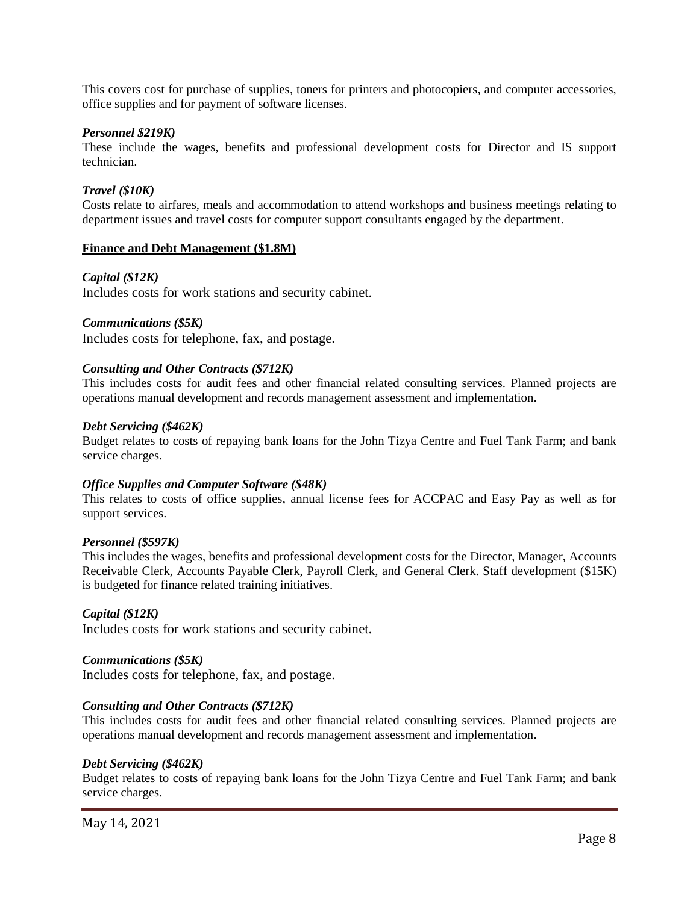This covers cost for purchase of supplies, toners for printers and photocopiers, and computer accessories, office supplies and for payment of software licenses.

### *Personnel \$219K)*

These include the wages, benefits and professional development costs for Director and IS support technician.

### *Travel (\$10K)*

Costs relate to airfares, meals and accommodation to attend workshops and business meetings relating to department issues and travel costs for computer support consultants engaged by the department.

### **Finance and Debt Management (\$1.8M)**

## *Capital (\$12K)*

Includes costs for work stations and security cabinet.

### *Communications (\$5K)*

Includes costs for telephone, fax, and postage.

### *Consulting and Other Contracts (\$712K)*

This includes costs for audit fees and other financial related consulting services. Planned projects are operations manual development and records management assessment and implementation.

### *Debt Servicing (\$462K)*

Budget relates to costs of repaying bank loans for the John Tizya Centre and Fuel Tank Farm; and bank service charges.

#### *Office Supplies and Computer Software (\$48K)*

This relates to costs of office supplies, annual license fees for ACCPAC and Easy Pay as well as for support services.

#### *Personnel (\$597K)*

This includes the wages, benefits and professional development costs for the Director, Manager, Accounts Receivable Clerk, Accounts Payable Clerk, Payroll Clerk, and General Clerk. Staff development (\$15K) is budgeted for finance related training initiatives.

#### *Capital (\$12K)*

Includes costs for work stations and security cabinet.

#### *Communications (\$5K)*

Includes costs for telephone, fax, and postage.

## *Consulting and Other Contracts (\$712K)*

This includes costs for audit fees and other financial related consulting services. Planned projects are operations manual development and records management assessment and implementation.

#### *Debt Servicing (\$462K)*

Budget relates to costs of repaying bank loans for the John Tizya Centre and Fuel Tank Farm; and bank service charges.